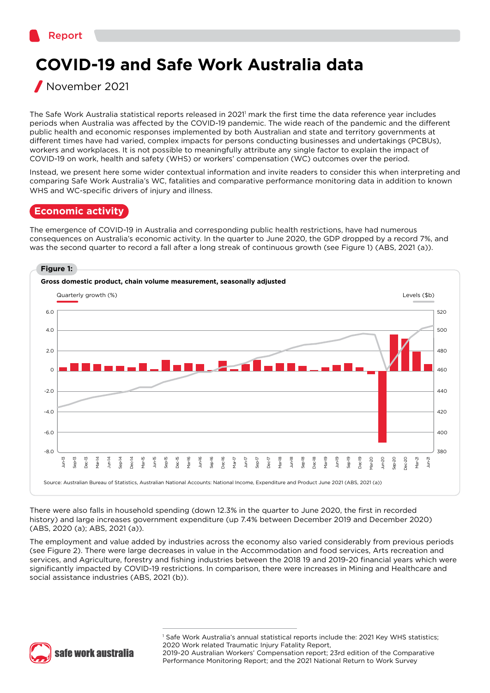/ November 2021

The Safe Work Australia statistical reports released in 2021' mark the first time the data reference year includes periods when Australia was affected by the COVID-19 pandemic. The wide reach of the pandemic and the different public health and economic responses implemented by both Australian and state and territory governments at different times have had varied, complex impacts for persons conducting businesses and undertakings (PCBUs), workers and workplaces. It is not possible to meaningfully attribute any single factor to explain the impact of COVID-19 on work, health and safety (WHS) or workers' compensation (WC) outcomes over the period.

Instead, we present here some wider contextual information and invite readers to consider this when interpreting and comparing Safe Work Australia's WC, fatalities and comparative performance monitoring data in addition to known WHS and WC-specific drivers of injury and illness.

#### **Economic activity**

The emergence of COVID-19 in Australia and corresponding public health restrictions, have had numerous consequences on Australia's economic activity. In the quarter to June 2020, the GDP dropped by a record 7%, and was the second quarter to record a fall after a long streak of continuous growth (see Figure 1) (ABS, 2021 (a)).

#### **Figure 1: Gross domestic product, chain volume measurement, seasonally adjusted** Quarterly growth (%) Levels (\$b) 520 6.0 4.0 500  $20$ 480 **Jane**  $\Omega$ 460 -2.0 440 -4.0 420 400 -6.0 -8.0 380 Sep-13 Dec-13 Mar-14 Sep-14 Dec-14 Mar-15 Dec-15 Mar-16 Jun-16 Sep-16 Dec-16 Mar-17 Dec-17 Mar-18 Dec-18 Mar-20 Jun-20 Sep-20 Dec-20 Mar-21 Jun-21 Jun-13 Jun-14 Jun-15 Sep-15 Jun-17 Sep-17 Jun-18 Sep-18 Mar-19 Jun-19 Dec-19 Sep-19 Source: Australian Bureau of Statistics, Australian National Accounts: National Income, Expenditure and Product June 2021 (ABS, 2021 (a))

There were also falls in household spending (down 12.3% in the quarter to June 2020, the first in recorded history) and large increases government expenditure (up 7.4% between December 2019 and December 2020) (ABS, 2020 (a); ABS, 2021 (a)).

The employment and value added by industries across the economy also varied considerably from previous periods (see Figure 2). There were large decreases in value in the Accommodation and food services, Arts recreation and services, and Agriculture, forestry and fishing industries between the 2018 19 and 2019-20 financial years which were significantly impacted by COVID-19 restrictions. In comparison, there were increases in Mining and Healthcare and social assistance industries (ABS, 2021 (b)).



<sup>1</sup> Safe Work Australia's annual statistical reports include the: 2021 Key WHS statistics; 2020 Work related Traumatic Injury Fatality Report,

2019-20 Australian Workers' Compensation report; 23rd edition of the Comparative Performance Monitoring Report; and the 2021 National Return to Work Survey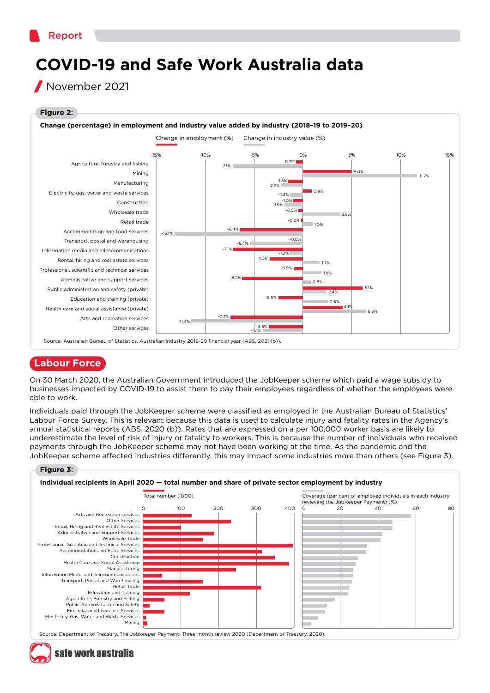/ November 2021

#### **Figure 2:**



#### **Labour Force**

On 30 March 2020, the Australian Government introduced the JobKeeper scheme which paid a wage subsidy to businesses impacted by COVID-19 to assist them to pay their employees regardless of whether the employees were able to work.

Individuals paid through the JobKeeper scheme were classified as employed in the Australian Bureau of Statistics' Labour Force Survey. This is relevant because this data is used to calculate injury and fatality rates in the Agency's annual statistical reports (ABS, 2020 (b)). Rates that are expressed on a per 100,000 worker basis are likely to underestimate the level of risk of injury or fatality to workers. This is because the number of individuals who received payments through the JobKeeper scheme may not have been working at the time. As the pandemic and the JobKeeper scheme affected industries differently, this may impact some industries more than others (see Figure 3).



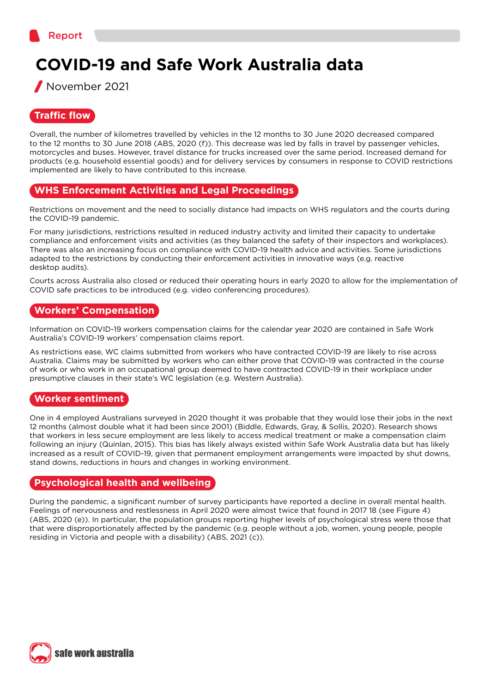/ November 2021

### **Traffic flow**

Overall, the number of kilometres travelled by vehicles in the 12 months to 30 June 2020 decreased compared to the 12 months to 30 June 2018 (ABS, 2020 (f)). This decrease was led by falls in travel by passenger vehicles, motorcycles and buses. However, travel distance for trucks increased over the same period. Increased demand for products (e.g. household essential goods) and for delivery services by consumers in response to COVID restrictions implemented are likely to have contributed to this increase.

#### **WHS Enforcement Activities and Legal Proceedings**

Restrictions on movement and the need to socially distance had impacts on WHS regulators and the courts during the COVID-19 pandemic.

For many jurisdictions, restrictions resulted in reduced industry activity and limited their capacity to undertake compliance and enforcement visits and activities (as they balanced the safety of their inspectors and workplaces). There was also an increasing focus on compliance with COVID-19 health advice and activities. Some jurisdictions adapted to the restrictions by conducting their enforcement activities in innovative ways (e.g. reactive desktop audits).

Courts across Australia also closed or reduced their operating hours in early 2020 to allow for the implementation of COVID safe practices to be introduced (e.g. video conferencing procedures).

#### **Workers' Compensation**

Information on COVID-19 workers compensation claims for the calendar year 2020 are contained in Safe Work Australia's COVID-19 workers' compensation claims report.

As restrictions ease, WC claims submitted from workers who have contracted COVID-19 are likely to rise across Australia. Claims may be submitted by workers who can either prove that COVID-19 was contracted in the course of work or who work in an occupational group deemed to have contracted COVID-19 in their workplace under presumptive clauses in their state's WC legislation (e.g. Western Australia).

### **Worker sentiment**

One in 4 employed Australians surveyed in 2020 thought it was probable that they would lose their jobs in the next 12 months (almost double what it had been since 2001) (Biddle, Edwards, Gray, & Sollis, 2020). Research shows that workers in less secure employment are less likely to access medical treatment or make a compensation claim following an injury (Quinlan, 2015). This bias has likely always existed within Safe Work Australia data but has likely increased as a result of COVID-19, given that permanent employment arrangements were impacted by shut downs, stand downs, reductions in hours and changes in working environment.

#### **Psychological health and wellbeing**

During the pandemic, a significant number of survey participants have reported a decline in overall mental health. Feelings of nervousness and restlessness in April 2020 were almost twice that found in 2017 18 (see Figure 4) (ABS, 2020 (e)). In particular, the population groups reporting higher levels of psychological stress were those that that were disproportionately affected by the pandemic (e.g. people without a job, women, young people, people residing in Victoria and people with a disability) (ABS, 2021 (c)).

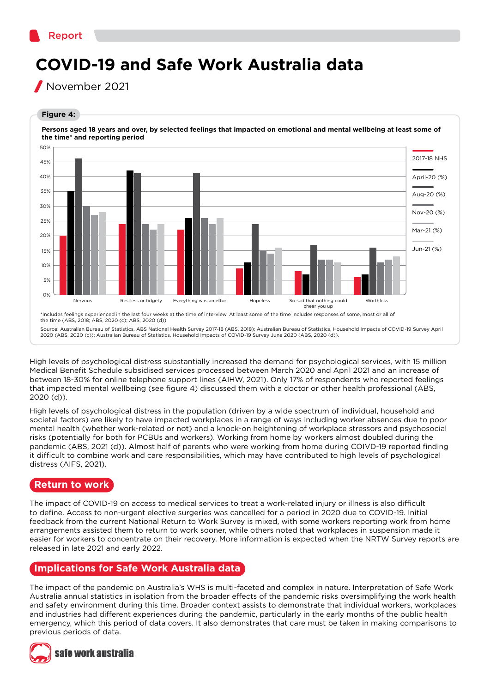/ November 2021

#### **Figure 4:**



**Persons aged 18 years and over, by selected feelings that impacted on emotional and mental wellbeing at least some of** 

Source: Australian Bureau of Statistics, ABS National Health Survey 2017-18 (ABS, 2018); Australian Bureau of Statistics, Household Impacts of COVID-19 Survey April 2020 (ABS, 2020 (c)); Australian Bureau of Statistics, Household Impacts of COVID-19 Survey June 2020 (ABS, 2020 (d)).

High levels of psychological distress substantially increased the demand for psychological services, with 15 million Medical Benefit Schedule subsidised services processed between March 2020 and April 2021 and an increase of between 18-30% for online telephone support lines (AIHW, 2021). Only 17% of respondents who reported feelings that impacted mental wellbeing (see figure 4) discussed them with a doctor or other health professional (ABS, 2020 (d)).

High levels of psychological distress in the population (driven by a wide spectrum of individual, household and societal factors) are likely to have impacted workplaces in a range of ways including worker absences due to poor mental health (whether work-related or not) and a knock-on heightening of workplace stressors and psychosocial risks (potentially for both for PCBUs and workers). Working from home by workers almost doubled during the pandemic (ABS, 2021 (d)). Almost half of parents who were working from home during COIVD-19 reported finding it difficult to combine work and care responsibilities, which may have contributed to high levels of psychological distress (AIFS, 2021).

#### **Return to work**

The impact of COVID-19 on access to medical services to treat a work-related injury or illness is also difficult to define. Access to non-urgent elective surgeries was cancelled for a period in 2020 due to COVID-19. Initial feedback from the current National Return to Work Survey is mixed, with some workers reporting work from home arrangements assisted them to return to work sooner, while others noted that workplaces in suspension made it easier for workers to concentrate on their recovery. More information is expected when the NRTW Survey reports are released in late 2021 and early 2022.

#### **Implications for Safe Work Australia data**

The impact of the pandemic on Australia's WHS is multi-faceted and complex in nature. Interpretation of Safe Work Australia annual statistics in isolation from the broader effects of the pandemic risks oversimplifying the work health and safety environment during this time. Broader context assists to demonstrate that individual workers, workplaces and industries had different experiences during the pandemic, particularly in the early months of the public health emergency, which this period of data covers. It also demonstrates that care must be taken in making comparisons to previous periods of data.